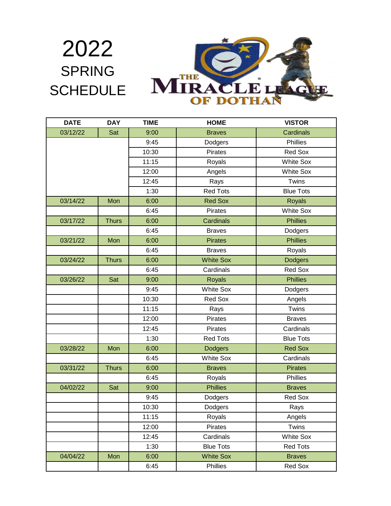

| <b>DATE</b> | <b>DAY</b>   | <b>TIME</b> | <b>HOME</b>      | <b>VISTOR</b>    |
|-------------|--------------|-------------|------------------|------------------|
| 03/12/22    | Sat          | 9:00        | <b>Braves</b>    | Cardinals        |
|             |              | 9:45        | Dodgers          | Phillies         |
|             |              | 10:30       | Pirates          | Red Sox          |
|             |              | 11:15       | Royals           | <b>White Sox</b> |
|             |              | 12:00       | Angels           | <b>White Sox</b> |
|             |              | 12:45       | Rays             | Twins            |
|             |              | 1:30        | <b>Red Tots</b>  | <b>Blue Tots</b> |
| 03/14/22    | Mon          | 6:00        | <b>Red Sox</b>   | <b>Royals</b>    |
|             |              | 6:45        | Pirates          | <b>White Sox</b> |
| 03/17/22    | <b>Thurs</b> | 6:00        | Cardinals        | <b>Phillies</b>  |
|             |              | 6:45        | <b>Braves</b>    | Dodgers          |
| 03/21/22    | Mon          | 6:00        | <b>Pirates</b>   | <b>Phillies</b>  |
|             |              | 6:45        | <b>Braves</b>    | Royals           |
| 03/24/22    | <b>Thurs</b> | 6:00        | <b>White Sox</b> | <b>Dodgers</b>   |
|             |              | 6:45        | Cardinals        | <b>Red Sox</b>   |
| 03/26/22    | Sat          | 9:00        | <b>Royals</b>    | <b>Phillies</b>  |
|             |              | 9:45        | <b>White Sox</b> | Dodgers          |
|             |              | 10:30       | Red Sox          | Angels           |
|             |              | 11:15       | Rays             | Twins            |
|             |              | 12:00       | Pirates          | <b>Braves</b>    |
|             |              | 12:45       | Pirates          | Cardinals        |
|             |              | 1:30        | <b>Red Tots</b>  | <b>Blue Tots</b> |
| 03/28/22    | Mon          | 6:00        | <b>Dodgers</b>   | <b>Red Sox</b>   |
|             |              | 6:45        | <b>White Sox</b> | Cardinals        |
| 03/31/22    | <b>Thurs</b> | 6:00        | <b>Braves</b>    | <b>Pirates</b>   |
|             |              | 6:45        | Royals           | Phillies         |
| 04/02/22    | Sat          | 9:00        | <b>Phillies</b>  | <b>Braves</b>    |
|             |              | 9:45        | Dodgers          | Red Sox          |
|             |              | 10:30       | Dodgers          | Rays             |
|             |              | 11:15       | Royals           | Angels           |
|             |              | 12:00       | Pirates          | Twins            |
|             |              | 12:45       | Cardinals        | <b>White Sox</b> |
|             |              | 1:30        | <b>Blue Tots</b> | <b>Red Tots</b>  |
| 04/04/22    | Mon          | 6:00        | <b>White Sox</b> | <b>Braves</b>    |
|             |              | 6:45        | Phillies         | Red Sox          |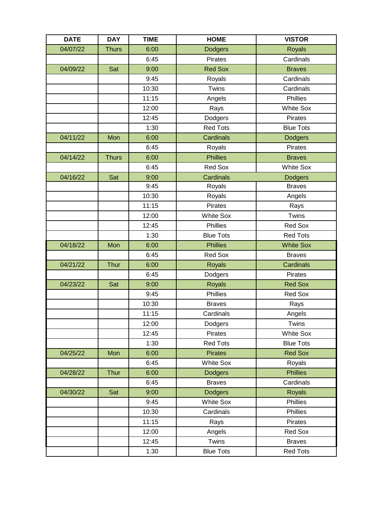| <b>DATE</b> | <b>DAY</b>   | <b>TIME</b> | <b>HOME</b>      | <b>VISTOR</b>    |
|-------------|--------------|-------------|------------------|------------------|
| 04/07/22    | <b>Thurs</b> | 6:00        | <b>Dodgers</b>   | <b>Royals</b>    |
|             |              | 6:45        | Pirates          | Cardinals        |
| 04/09/22    | Sat          | 9:00        | <b>Red Sox</b>   | <b>Braves</b>    |
|             |              | 9:45        | Royals           | Cardinals        |
|             |              | 10:30       | Twins            | Cardinals        |
|             |              | 11:15       | Angels           | Phillies         |
|             |              | 12:00       | Rays             | <b>White Sox</b> |
|             |              | 12:45       | Dodgers          | Pirates          |
|             |              | 1:30        | <b>Red Tots</b>  | <b>Blue Tots</b> |
| 04/11/22    | Mon          | 6:00        | Cardinals        | <b>Dodgers</b>   |
|             |              | 6:45        | Royals           | Pirates          |
| 04/14/22    | <b>Thurs</b> | 6:00        | <b>Phillies</b>  | <b>Braves</b>    |
|             |              | 6:45        | <b>Red Sox</b>   | <b>White Sox</b> |
| 04/16/22    | Sat          | 9:00        | Cardinals        | <b>Dodgers</b>   |
|             |              | 9:45        | Royals           | <b>Braves</b>    |
|             |              | 10:30       | Royals           | Angels           |
|             |              | 11:15       | Pirates          | Rays             |
|             |              | 12:00       | <b>White Sox</b> | Twins            |
|             |              | 12:45       | Phillies         | Red Sox          |
|             |              | 1:30        | <b>Blue Tots</b> | <b>Red Tots</b>  |
| 04/18/22    | Mon          | 6:00        | <b>Phillies</b>  | <b>White Sox</b> |
|             |              | 6:45        | Red Sox          | <b>Braves</b>    |
| 04/21/22    | <b>Thur</b>  | 6:00        | <b>Royals</b>    | Cardinals        |
|             |              | 6:45        | Dodgers          | Pirates          |
| 04/23/22    | Sat          | 9:00        | Royals           | <b>Red Sox</b>   |
|             |              | 9:45        | Phillies         | Red Sox          |
|             |              | 10:30       | <b>Braves</b>    | Rays             |
|             |              | 11:15       | Cardinals        | Angels           |
|             |              | 12:00       | Dodgers          | Twins            |
|             |              | 12:45       | Pirates          | <b>White Sox</b> |
|             |              | 1:30        | <b>Red Tots</b>  | <b>Blue Tots</b> |
| 04/25/22    | Mon          | 6:00        | <b>Pirates</b>   | <b>Red Sox</b>   |
|             |              | 6:45        | White Sox        | Royals           |
| 04/28/22    | Thur         | 6:00        | <b>Dodgers</b>   | <b>Phillies</b>  |
|             |              | 6:45        | <b>Braves</b>    | Cardinals        |
| 04/30/22    | Sat          | 9:00        | <b>Dodgers</b>   | <b>Royals</b>    |
|             |              | 9:45        | <b>White Sox</b> | Phillies         |
|             |              | 10:30       | Cardinals        | Phillies         |
|             |              | 11:15       | Rays             | Pirates          |
|             |              | 12:00       | Angels           | Red Sox          |
|             |              | 12:45       | Twins            | <b>Braves</b>    |
|             |              | 1:30        | <b>Blue Tots</b> | <b>Red Tots</b>  |